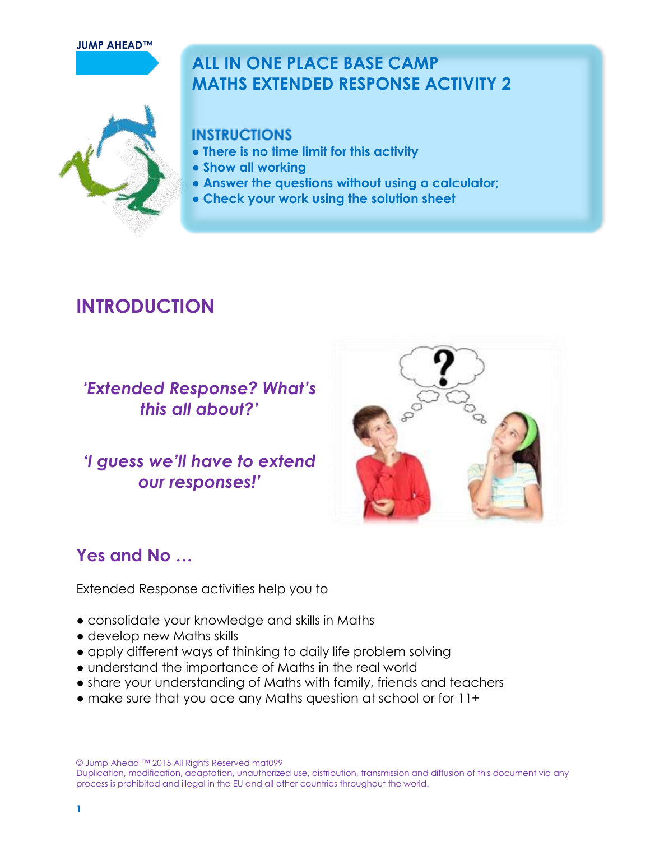#### **JUMP AHEAD™**

# **ALL IN ONE PLACE BASE CAMP MATHS EXTENDED RESPONSE ACTIVITY 2**

# **INSTRUCTIONS**

- **There is no time limit for this activity**
- **Show all working**
- **Answer the questions without using a calculator;**
- **Check your work using the solution sheet**

# **INTRODUCTION**

# *'Extended Response? What's this all about?'*

# *'I guess we'll have to extend our responses!'*



# **Yes and No …**

Extended Response activities help you to

- consolidate your knowledge and skills in Maths
- develop new Maths skills
- apply different ways of thinking to daily life problem solving
- understand the importance of Maths in the real world
- share your understanding of Maths with family, friends and teachers
- make sure that you ace any Maths question at school or for 11+

© Jump Ahead ™ 2015 All Rights Reserved mat099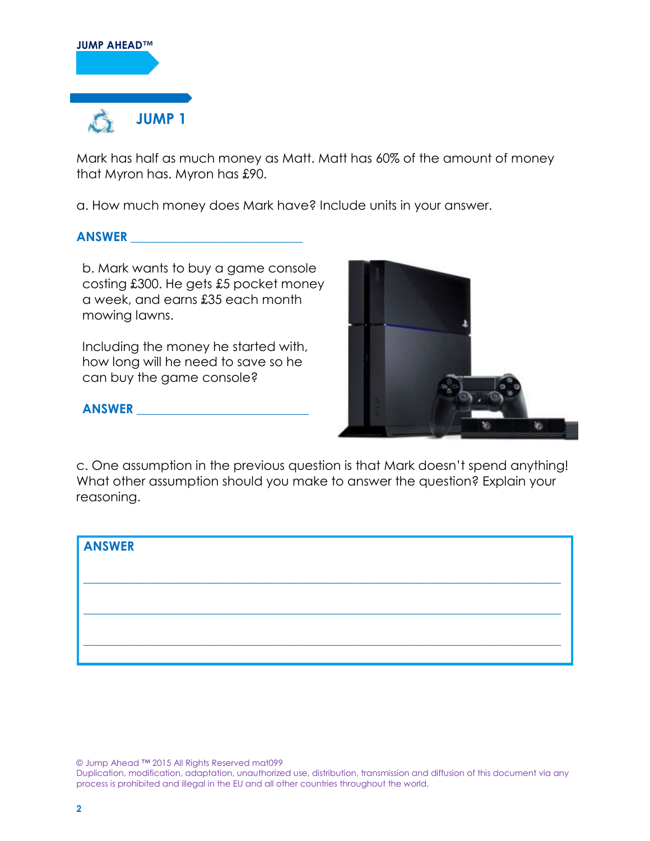

Mark has half as much money as Matt. Matt has 60% of the amount of money that Myron has. Myron has £90.

a. How much money does Mark have? Include units in your answer.

#### **ANSWER \_\_\_\_\_\_\_\_\_\_\_\_\_\_\_\_\_\_\_\_\_\_\_\_\_\_\_**

b. Mark wants to buy a game console costing £300. He gets £5 pocket money a week, and earns £35 each month mowing lawns.

Including the money he started with, how long will he need to save so he can buy the game console?



#### **ANSWER \_\_\_\_\_\_\_\_\_\_\_\_\_\_\_\_\_\_\_\_\_\_\_\_\_\_\_**

c. One assumption in the previous question is that Mark doesn't spend anything! What other assumption should you make to answer the question? Explain your reasoning.



© Jump Ahead ™ 2015 All Rights Reserved mat099

Duplication, modification, adaptation, unauthorized use, distribution, transmission and diffusion of this document via any process is prohibited and illegal in the EU and all other countries throughout the world.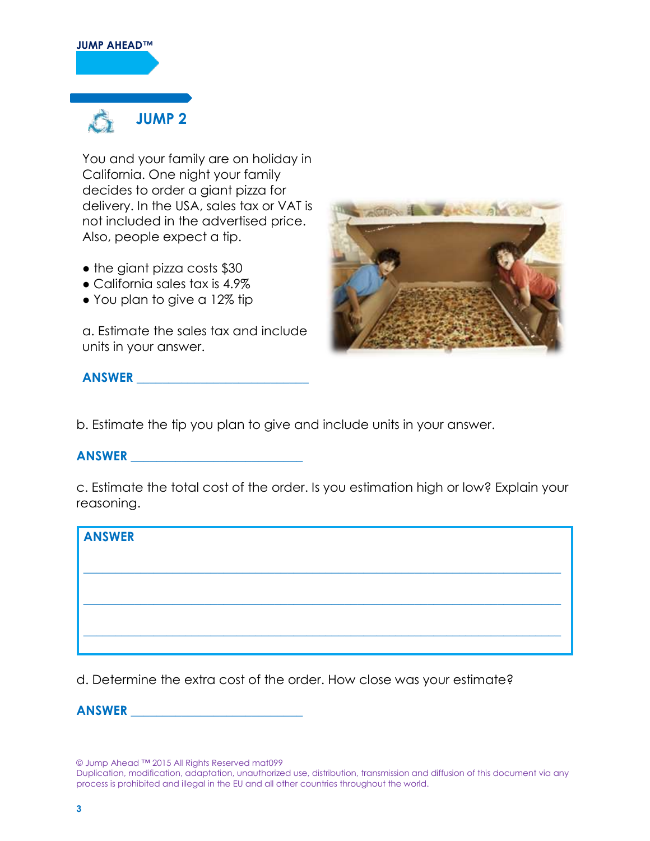#### **JUMP AHEAD™**



You and your family are on holiday in California. One night your family decides to order a giant pizza for delivery. In the USA, sales tax or VAT is not included in the advertised price. Also, people expect a tip.

- the giant pizza costs \$30
- California sales tax is 4.9%
- You plan to give a 12% tip

a. Estimate the sales tax and include units in your answer.



**ANSWER \_\_\_\_\_\_\_\_\_\_\_\_\_\_\_\_\_\_\_\_\_\_\_\_\_\_\_**

b. Estimate the tip you plan to give and include units in your answer.

#### **ANSWER \_\_\_\_\_\_\_\_\_\_\_\_\_\_\_\_\_\_\_\_\_\_\_\_\_\_\_**

c. Estimate the total cost of the order. Is you estimation high or low? Explain your reasoning.

| ANSWER |  |  |  |
|--------|--|--|--|
|        |  |  |  |
|        |  |  |  |
|        |  |  |  |
|        |  |  |  |

d. Determine the extra cost of the order. How close was your estimate?

**ANSWER \_\_\_\_\_\_\_\_\_\_\_\_\_\_\_\_\_\_\_\_\_\_\_\_\_\_\_**

© Jump Ahead ™ 2015 All Rights Reserved mat099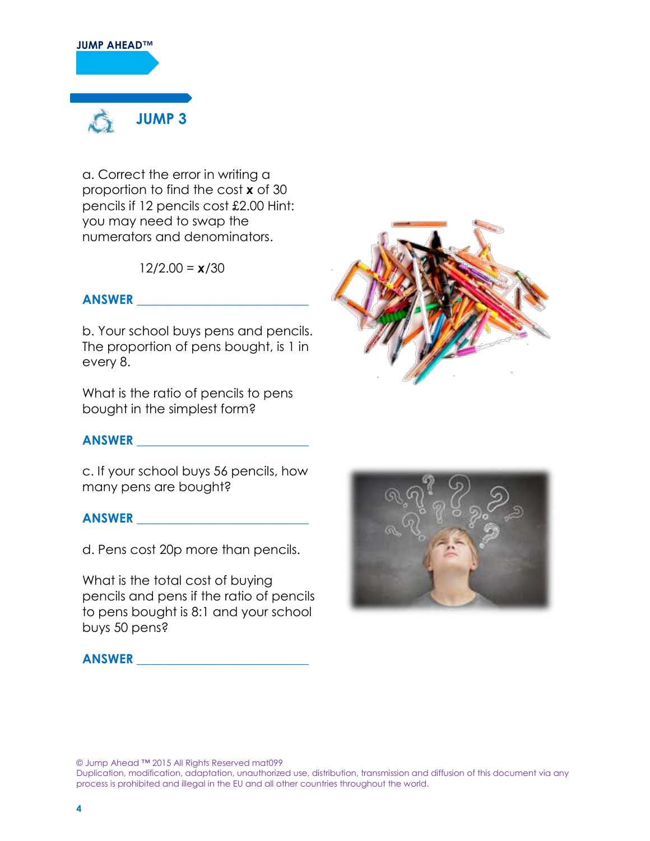

a. Correct the error in writing a proportion to find the cost *x* of 30 pencils if 12 pencils cost £2.00 Hint: you may need to swap the numerators and denominators.

 $12/2.00 = x/30$ 

# **ANSWER \_\_\_\_\_\_\_\_\_\_\_\_\_\_\_\_\_\_\_\_\_\_\_\_\_\_\_**

b. Your school buys pens and pencils. The proportion of pens bought, is 1 in every 8.

What is the ratio of pencils to pens bought in the simplest form?

## **ANSWER \_\_\_\_\_\_\_\_\_\_\_\_\_\_\_\_\_\_\_\_\_\_\_\_\_\_\_**

c. If your school buys 56 pencils, how many pens are bought?

## **ANSWER \_\_\_\_\_\_\_\_\_\_\_\_\_\_\_\_\_\_\_\_\_\_\_\_\_\_\_**

d. Pens cost 20p more than pencils.

What is the total cost of buying pencils and pens if the ratio of pencils to pens bought is 8:1 and your school buys 50 pens?







© Jump Ahead ™ 2015 All Rights Reserved mat099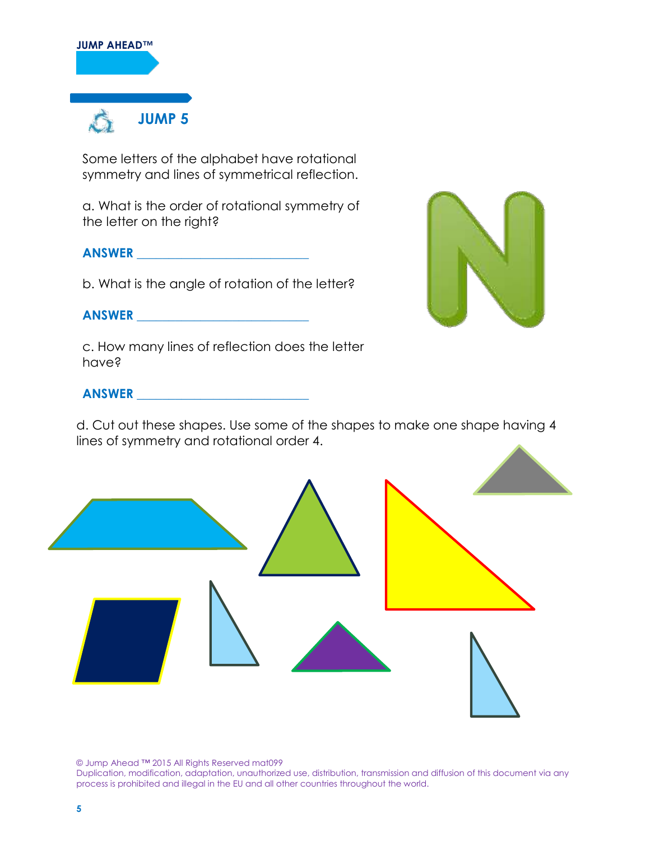

Some letters of the alphabet have rotational symmetry and lines of symmetrical reflection.

a. What is the order of rotational symmetry of the letter on the right?

# **ANSWER \_\_\_\_\_\_\_\_\_\_\_\_\_\_\_\_\_\_\_\_\_\_\_\_\_\_\_**

b. What is the angle of rotation of the letter?

# **ANSWER \_\_\_\_\_\_\_\_\_\_\_\_\_\_\_\_\_\_\_\_\_\_\_\_\_\_\_**

c. How many lines of reflection does the letter have?

# **ANSWER \_\_\_\_\_\_\_\_\_\_\_\_\_\_\_\_\_\_\_\_\_\_\_\_\_\_\_**

d. Cut out these shapes. Use some of the shapes to make one shape having 4 lines of symmetry and rotational order 4.



© Jump Ahead ™ 2015 All Rights Reserved mat099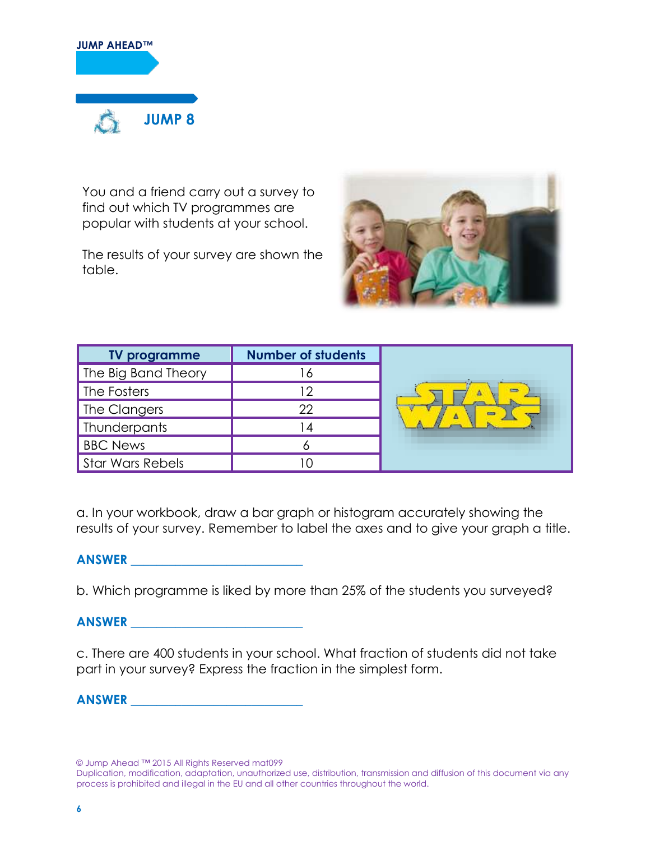

You and a friend carry out a survey to find out which TV programmes are popular with students at your school.

The results of your survey are shown the table.



| <b>TV programme</b>     | <b>Number of students</b> |              |
|-------------------------|---------------------------|--------------|
| The Big Band Theory     | O                         |              |
| The Fosters             | ר ו                       | $\leftarrow$ |
| The Clangers            | 22                        | <b>COR</b>   |
| Thunderpants            |                           |              |
| <b>BBC News</b>         |                           |              |
| <b>Star Wars Rebels</b> |                           |              |

a. In your workbook, draw a bar graph or histogram accurately showing the results of your survey. Remember to label the axes and to give your graph a title.

#### **ANSWER \_\_\_\_\_\_\_\_\_\_\_\_\_\_\_\_\_\_\_\_\_\_\_\_\_\_\_**

b. Which programme is liked by more than 25% of the students you surveyed?

**ANSWER \_\_\_\_\_\_\_\_\_\_\_\_\_\_\_\_\_\_\_\_\_\_\_\_\_\_\_**

c. There are 400 students in your school. What fraction of students did not take part in your survey? Express the fraction in the simplest form.

**ANSWER \_\_\_\_\_\_\_\_\_\_\_\_\_\_\_\_\_\_\_\_\_\_\_\_\_\_\_**

© Jump Ahead ™ 2015 All Rights Reserved mat099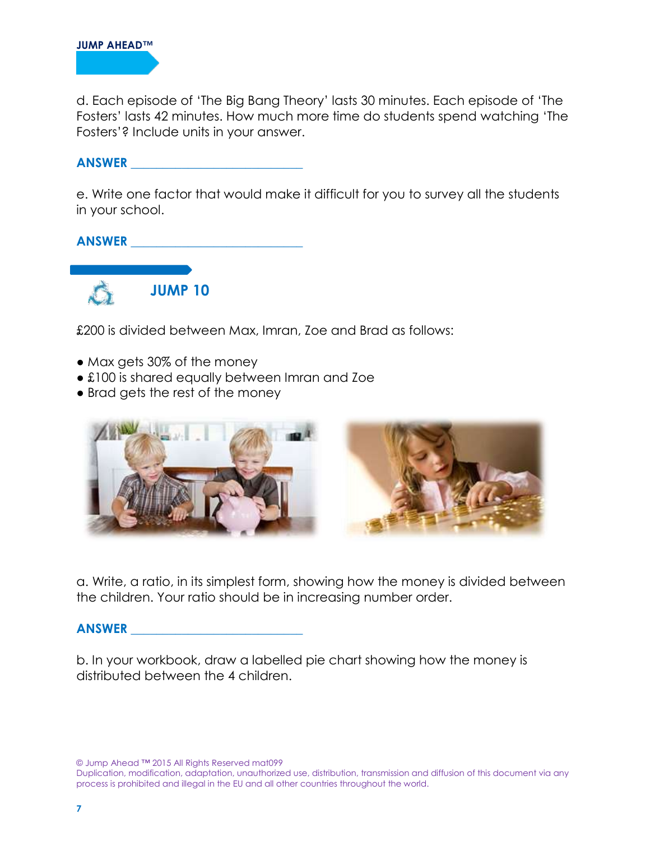

d. Each episode of 'The Big Bang Theory' lasts 30 minutes. Each episode of 'The Fosters' lasts 42 minutes. How much more time do students spend watching 'The Fosters'? Include units in your answer.

**ANSWER \_\_\_\_\_\_\_\_\_\_\_\_\_\_\_\_\_\_\_\_\_\_\_\_\_\_\_**

e. Write one factor that would make it difficult for you to survey all the students in your school.

# **ANSWER \_\_\_\_\_\_\_\_\_\_\_\_\_\_\_\_\_\_\_\_\_\_\_\_\_\_\_**



£200 is divided between Max, Imran, Zoe and Brad as follows:

- Max gets 30% of the money
- £100 is shared equally between Imran and Zoe
- Brad gets the rest of the money



a. Write, a ratio, in its simplest form, showing how the money is divided between the children. Your ratio should be in increasing number order.

#### **ANSWER \_\_\_\_\_\_\_\_\_\_\_\_\_\_\_\_\_\_\_\_\_\_\_\_\_\_\_**

b. In your workbook, draw a labelled pie chart showing how the money is distributed between the 4 children.

© Jump Ahead ™ 2015 All Rights Reserved mat099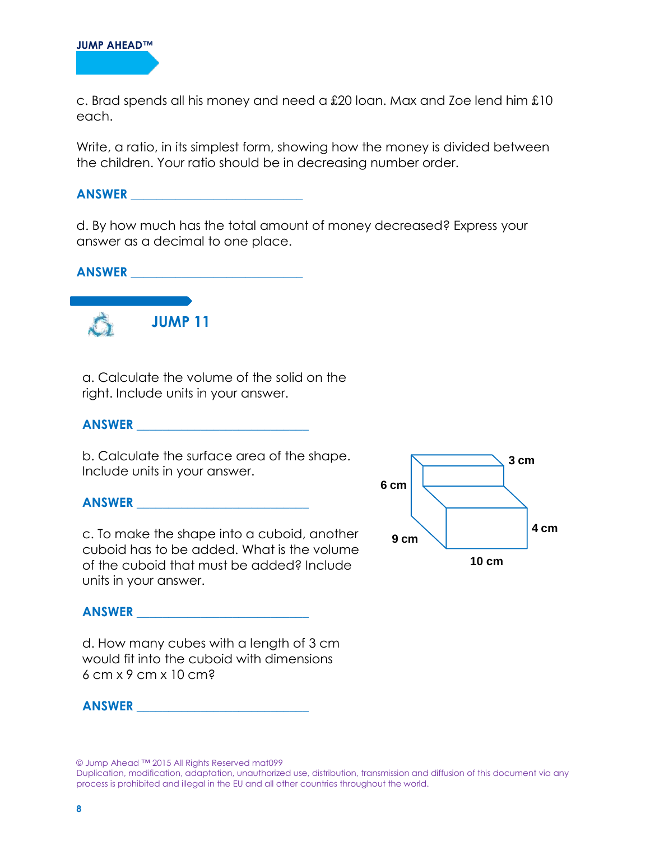

c. Brad spends all his money and need a £20 loan. Max and Zoe lend him £10 each.

Write, a ratio, in its simplest form, showing how the money is divided between the children. Your ratio should be in decreasing number order.

#### **ANSWER \_\_\_\_\_\_\_\_\_\_\_\_\_\_\_\_\_\_\_\_\_\_\_\_\_\_\_**

d. By how much has the total amount of money decreased? Express your answer as a decimal to one place.



a. Calculate the volume of the solid on the right. Include units in your answer.

### **ANSWER \_\_\_\_\_\_\_\_\_\_\_\_\_\_\_\_\_\_\_\_\_\_\_\_\_\_\_**

b. Calculate the surface area of the shape. Include units in your answer.

#### **ANSWER \_\_\_\_\_\_\_\_\_\_\_\_\_\_\_\_\_\_\_\_\_\_\_\_\_\_\_**

c. To make the shape into a cuboid, another cuboid has to be added. What is the volume of the cuboid that must be added? Include units in your answer.



#### **ANSWER \_\_\_\_\_\_\_\_\_\_\_\_\_\_\_\_\_\_\_\_\_\_\_\_\_\_\_**

d. How many cubes with a length of 3 cm would fit into the cuboid with dimensions 6 cm x 9 cm x 10 cm?

**ANSWER \_\_\_\_\_\_\_\_\_\_\_\_\_\_\_\_\_\_\_\_\_\_\_\_\_\_\_**

© Jump Ahead ™ 2015 All Rights Reserved mat099

Duplication, modification, adaptation, unauthorized use, distribution, transmission and diffusion of this document via any process is prohibited and illegal in the EU and all other countries throughout the world.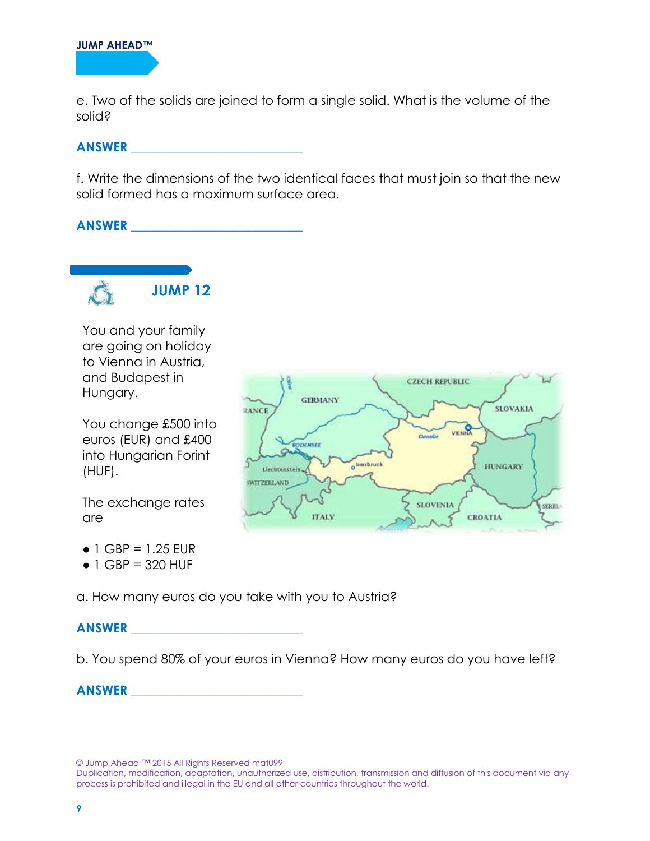e. Two of the solids are joined to form a single solid. What is the volume of the solid?

# **ANSWER \_\_\_\_\_\_\_\_\_\_\_\_\_\_\_\_\_\_\_\_\_\_\_\_\_\_\_**

f. Write the dimensions of the two identical faces that must join so that the new solid formed has a maximum surface area.

#### **ANSWER \_\_\_\_\_\_\_\_\_\_\_\_\_\_\_\_\_\_\_\_\_\_\_\_\_\_\_**



You and your family are going on holiday to Vienna in Austria, and Budapest in Hungary.

You change £500 into euros (EUR) and £400 into Hungarian Forint (HUF).

The exchange rates are

- $\bullet$  1 GBP = 1.25 EUR
- $\bullet$  1 GBP = 320 HUF

a. How many euros do you take with you to Austria?

## **ANSWER \_\_\_\_\_\_\_\_\_\_\_\_\_\_\_\_\_\_\_\_\_\_\_\_\_\_\_**

b. You spend 80% of your euros in Vienna? How many euros do you have left?

# **ANSWER \_\_\_\_\_\_\_\_\_\_\_\_\_\_\_\_\_\_\_\_\_\_\_\_\_\_\_**

© Jump Ahead ™ 2015 All Rights Reserved mat099

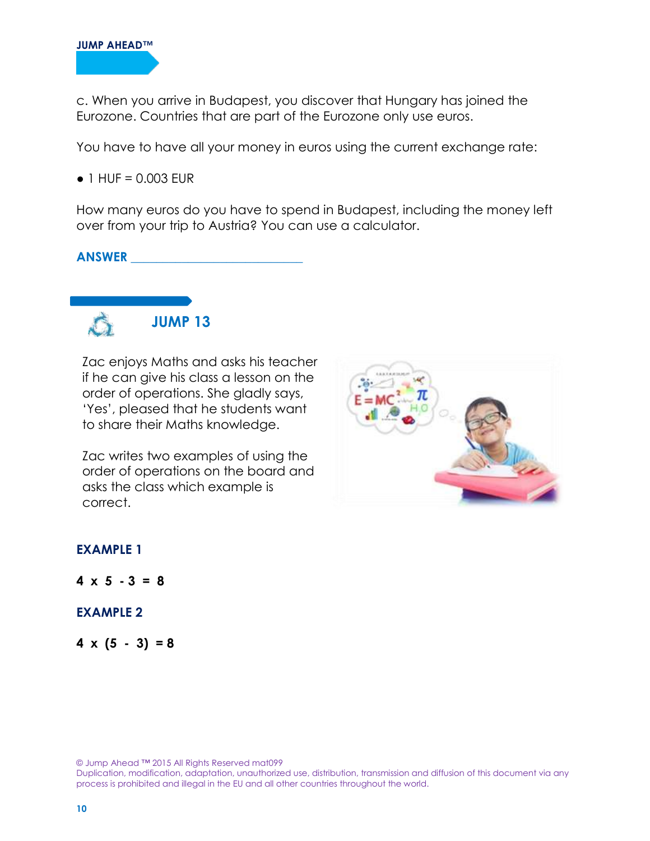c. When you arrive in Budapest, you discover that Hungary has joined the Eurozone. Countries that are part of the Eurozone only use euros.

You have to have all your money in euros using the current exchange rate:

 $\bullet$  1 HUF = 0.003 EUR

How many euros do you have to spend in Budapest, including the money left over from your trip to Austria? You can use a calculator.

#### **ANSWER \_\_\_\_\_\_\_\_\_\_\_\_\_\_\_\_\_\_\_\_\_\_\_\_\_\_\_**



Zac enjoys Maths and asks his teacher if he can give his class a lesson on the order of operations. She gladly says, 'Yes', pleased that he students want to share their Maths knowledge.

Zac writes two examples of using the order of operations on the board and asks the class which example is correct.



#### **EXAMPLE 1**

 $4 \times 5 - 3 = 8$ 

#### **EXAMPLE 2**

 $4 \times (5 - 3) = 8$ 

© Jump Ahead ™ 2015 All Rights Reserved mat099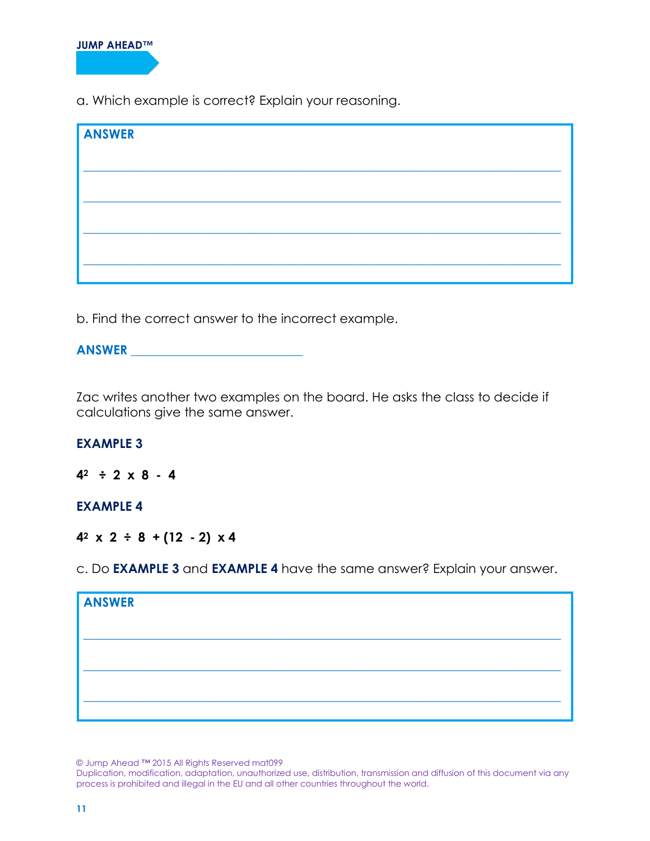a. Which example is correct? Explain your reasoning.

| <b>ANSWER</b> |  |  |
|---------------|--|--|
|               |  |  |
|               |  |  |
|               |  |  |
|               |  |  |
|               |  |  |

b. Find the correct answer to the incorrect example.

| <b>ANSWER</b> |  |
|---------------|--|
|---------------|--|

Zac writes another two examples on the board. He asks the class to decide if calculations give the same answer.

## **EXAMPLE 3**

 $4^2 \div 2 \times 8 - 4$ 

## **EXAMPLE 4**

**42 x 2 ÷ 8 + (12 - 2) x 4** 

c. Do **EXAMPLE 3** and **EXAMPLE 4** have the same answer? Explain your answer.

| <b>ANSWER</b> |  |  |  |
|---------------|--|--|--|
|               |  |  |  |
|               |  |  |  |
|               |  |  |  |
|               |  |  |  |

© Jump Ahead ™ 2015 All Rights Reserved mat099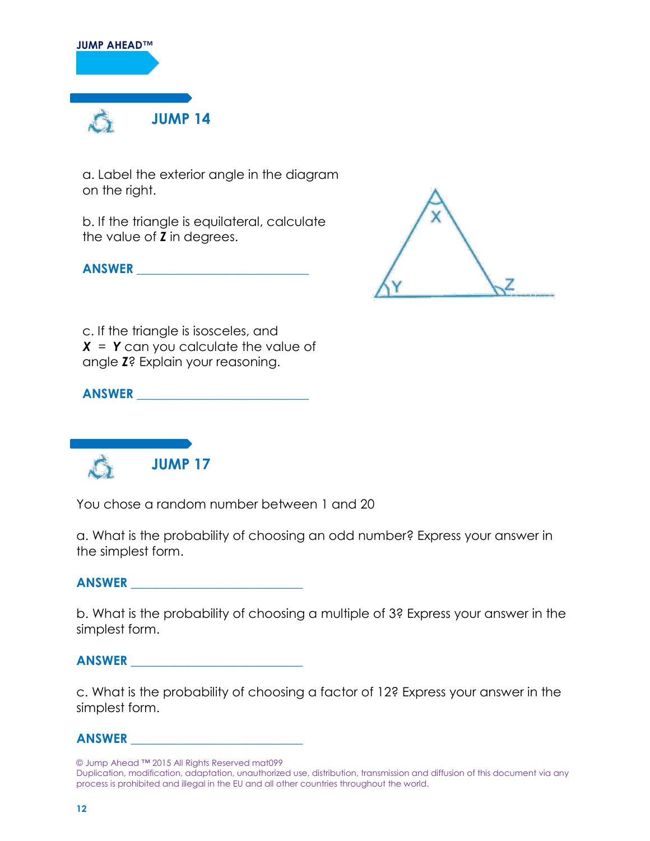

a. Label the exterior angle in the diagram on the right.

b. If the triangle is equilateral, calculate the value of *Z* in degrees.

**ANSWER \_\_\_\_\_\_\_\_\_\_\_\_\_\_\_\_\_\_\_\_\_\_\_\_\_\_\_**



c. If the triangle is isosceles, and *X* = *Y* can you calculate the value of angle *Z*? Explain your reasoning.

**ANSWER \_\_\_\_\_\_\_\_\_\_\_\_\_\_\_\_\_\_\_\_\_\_\_\_\_\_\_**



You chose a random number between 1 and 20

a. What is the probability of choosing an odd number? Express your answer in the simplest form.

# **ANSWER \_\_\_\_\_\_\_\_\_\_\_\_\_\_\_\_\_\_\_\_\_\_\_\_\_\_\_**

b. What is the probability of choosing a multiple of 3? Express your answer in the simplest form.

## **ANSWER \_\_\_\_\_\_\_\_\_\_\_\_\_\_\_\_\_\_\_\_\_\_\_\_\_\_\_**

c. What is the probability of choosing a factor of 12? Express your answer in the simplest form.

## **ANSWER \_\_\_\_\_\_\_\_\_\_\_\_\_\_\_\_\_\_\_\_\_\_\_\_\_\_\_**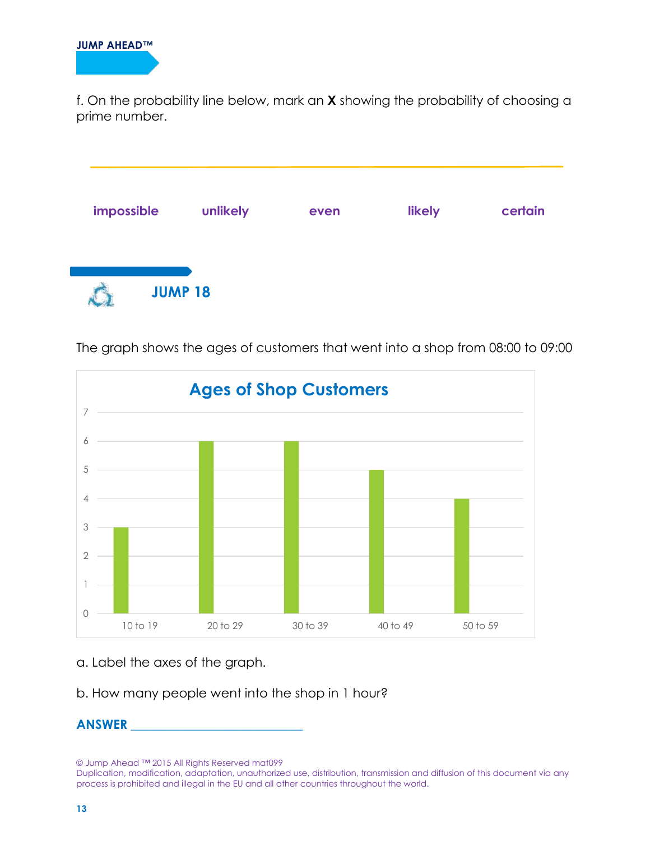f. On the probability line below, mark an **X** showing the probability of choosing a prime number.





The graph shows the ages of customers that went into a shop from 08:00 to 09:00

a. Label the axes of the graph.

b. How many people went into the shop in 1 hour?

# **ANSWER \_\_\_\_\_\_\_\_\_\_\_\_\_\_\_\_\_\_\_\_\_\_\_\_\_\_\_**

© Jump Ahead ™ 2015 All Rights Reserved mat099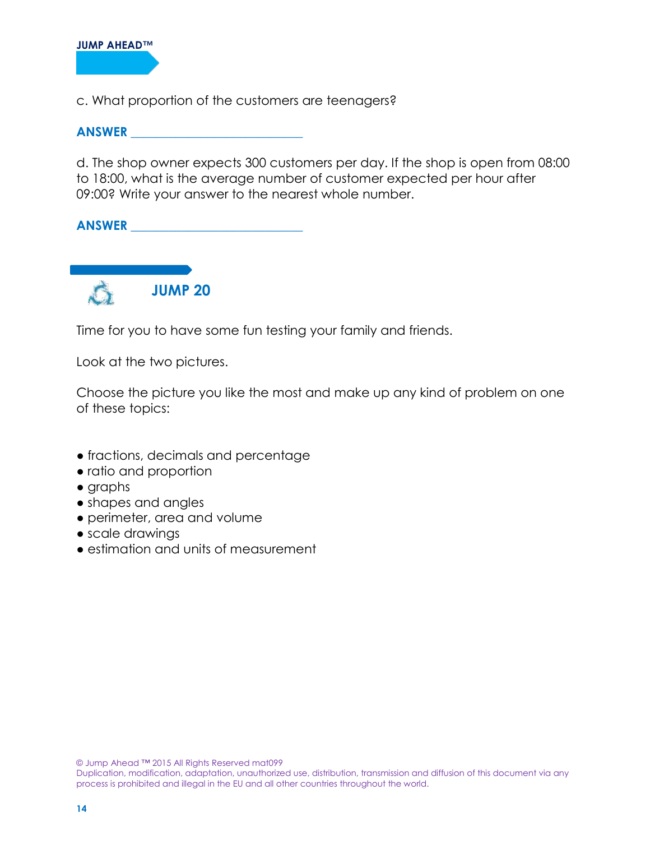

c. What proportion of the customers are teenagers?

#### **ANSWER \_\_\_\_\_\_\_\_\_\_\_\_\_\_\_\_\_\_\_\_\_\_\_\_\_\_\_**

d. The shop owner expects 300 customers per day. If the shop is open from 08:00 to 18:00, what is the average number of customer expected per hour after 09:00? Write your answer to the nearest whole number.

**ANSWER \_\_\_\_\_\_\_\_\_\_\_\_\_\_\_\_\_\_\_\_\_\_\_\_\_\_\_**



Time for you to have some fun testing your family and friends.

Look at the two pictures.

Choose the picture you like the most and make up any kind of problem on one of these topics:

- fractions, decimals and percentage
- ratio and proportion
- graphs
- shapes and angles
- perimeter, area and volume
- scale drawings
- estimation and units of measurement

© Jump Ahead ™ 2015 All Rights Reserved mat099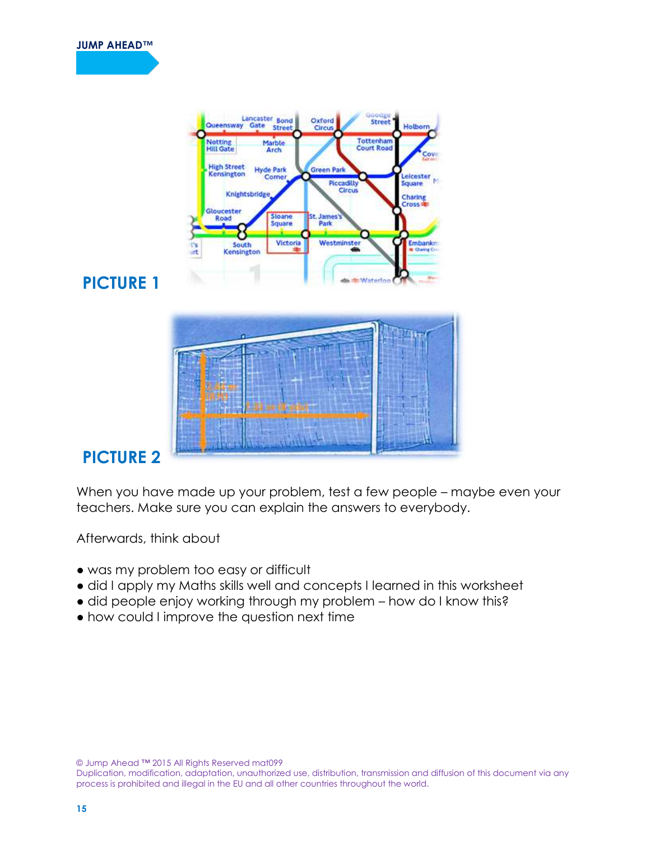



**PICTURE 1** 



# **PICTURE 2**

When you have made up your problem, test a few people – maybe even your teachers. Make sure you can explain the answers to everybody.

Afterwards, think about

- was my problem too easy or difficult
- did I apply my Maths skills well and concepts I learned in this worksheet
- did people enjoy working through my problem how do I know this?
- how could I improve the question next time

© Jump Ahead ™ 2015 All Rights Reserved mat099